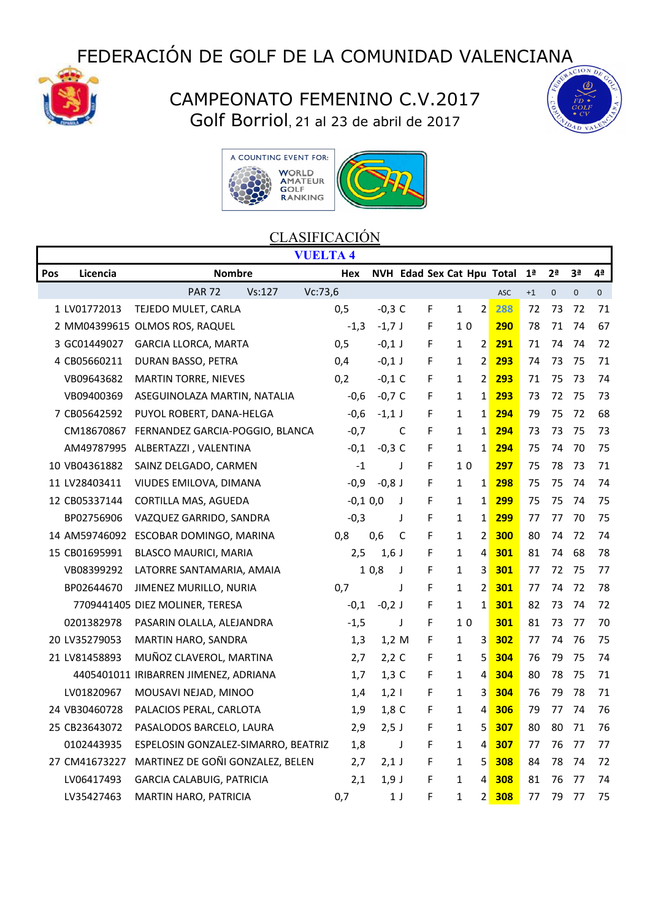# FEDERACIÓN DE GOLF DE LA COMUNIDAD VALENCIANA



## CAMPEONATO FEMENINO C.V.2017 Golf Borriol, 21 al 23 de abril de 2017





#### **CLASIFICACIÓN**

| <b>VUELTA 4</b> |               |                                       |            |          |   |   |                                |     |                |              |                |              |
|-----------------|---------------|---------------------------------------|------------|----------|---|---|--------------------------------|-----|----------------|--------------|----------------|--------------|
| Pos             | Licencia      | <b>Nombre</b>                         | Hex        |          |   |   | NVH Edad Sex Cat Hpu Total     |     | 1 <sup>a</sup> | 2ª           | 3 <sup>a</sup> | 4ª           |
|                 |               | <b>PAR 72</b><br>Vc:73,6<br>Vs: 127   |            |          |   |   |                                | ASC | $+1$           | $\mathbf{0}$ | $\mathbf{0}$   | $\mathbf{0}$ |
|                 | 1 LV01772013  | TEJEDO MULET, CARLA                   | 0,5        | $-0,3$ C |   | F | $\overline{2}$<br>1            | 288 | 72             | 73           | 72             | 71           |
|                 |               | 2 MM04399615 OLMOS ROS, RAQUEL        | $-1,3$     | $-1,7$ J |   | F | 1 <sub>0</sub>                 | 290 | 78             | 71           | 74             | 67           |
|                 | 3 GC01449027  | <b>GARCIA LLORCA, MARTA</b>           | 0,5        | $-0,1$ J |   | F | $\overline{2}$<br>$\mathbf{1}$ | 291 | 71             | 74           | 74             | 72           |
|                 | 4 CB05660211  | DURAN BASSO, PETRA                    | 0,4        | $-0,1$ J |   | F | $\overline{2}$<br>$\mathbf{1}$ | 293 | 74             | 73           | 75             | 71           |
|                 | VB09643682    | <b>MARTIN TORRE, NIEVES</b>           | 0,2        | $-0,1$ C |   | F | $\overline{2}$<br>1            | 293 | 71             | 75           | 73             | 74           |
|                 | VB09400369    | ASEGUINOLAZA MARTIN, NATALIA          | $-0,6$     | $-0,7$ C |   | F | $\mathbf{1}$<br>$\mathbf{1}$   | 293 | 73             | 72           | 75             | 73           |
|                 | 7 CB05642592  | PUYOL ROBERT, DANA-HELGA              | $-0,6$     | $-1,1$ J |   | F | $\mathbf{1}$<br>$\mathbf{1}$   | 294 | 79             | 75           | 72             | 68           |
|                 | CM18670867    | FERNANDEZ GARCIA-POGGIO, BLANCA       | $-0,7$     |          | C | F | $\mathbf{1}$<br>1              | 294 | 73             | 73           | 75             | 73           |
|                 | AM49787995    | ALBERTAZZI, VALENTINA                 | $-0,1$     | $-0,3$ C |   | F | $\mathbf{1}$<br>$\mathbf{1}$   | 294 | 75             | 74           | 70             | 75           |
|                 | 10 VB04361882 | SAINZ DELGADO, CARMEN                 | $-1$       |          | J | F | 10                             | 297 | 75             | 78           | 73             | 71           |
|                 | 11 LV28403411 | VIUDES EMILOVA, DIMANA                | $-0,9$     | $-0,8$ J |   | F | $\mathbf{1}$<br>$1\vert$       | 298 | 75             | 75           | 74             | 74           |
|                 | 12 CB05337144 | CORTILLA MAS, AGUEDA                  | $-0,1,0,0$ |          | J | F | $\mathbf{1}$<br>$\mathbf{1}$   | 299 | 75             | 75           | 74             | 75           |
|                 | BP02756906    | VAZQUEZ GARRIDO, SANDRA               | $-0,3$     |          | J | F | $\mathbf{1}$<br>$\mathbf{1}$   | 299 | 77             | 77           | 70             | 75           |
|                 | 14 AM59746092 | ESCOBAR DOMINGO, MARINA               | 0,8        | 0,6      | C | F | $\overline{2}$<br>$\mathbf{1}$ | 300 | 80             | 74           | 72             | 74           |
|                 | 15 CB01695991 | <b>BLASCO MAURICI, MARIA</b>          | 2,5        | $1,6$ J  |   | F | 4<br>1                         | 301 | 81             | 74           | 68             | 78           |
|                 | VB08399292    | LATORRE SANTAMARIA, AMAIA             |            | 10,8     | J | F | 3<br>$\mathbf{1}$              | 301 | 77             | 72           | 75             | 77           |
|                 | BP02644670    | JIMENEZ MURILLO, NURIA                | 0,7        |          | J | F | $\overline{2}$<br>$\mathbf{1}$ | 301 | 77             | 74           | 72             | 78           |
|                 |               | 7709441405 DIEZ MOLINER, TERESA       | $-0,1$     | $-0,2$ J |   | F | $\mathbf{1}$<br>1              | 301 | 82             | 73           | 74             | 72           |
|                 | 0201382978    | PASARIN OLALLA, ALEJANDRA             | $-1,5$     |          | J | F | 10                             | 301 | 81             | 73           | 77             | 70           |
|                 | 20 LV35279053 | MARTIN HARO, SANDRA                   | 1,3        | 1,2 M    |   | F | 1<br>3                         | 302 | 77             | 74           | 76             | 75           |
|                 | 21 LV81458893 | MUÑOZ CLAVEROL, MARTINA               | 2,7        | $2,2$ C  |   | F | 5<br>$\mathbf{1}$              | 304 | 76             | 79           | 75             | 74           |
|                 |               | 4405401011 IRIBARREN JIMENEZ, ADRIANA | 1,7        | $1,3$ C  |   | F | 4<br>$\mathbf{1}$              | 304 | 80             | 78           | 75             | 71           |
|                 | LV01820967    | MOUSAVI NEJAD, MINOO                  | 1,4        | $1,2$    |   | F | 3<br>$\mathbf{1}$              | 304 | 76             | 79           | 78             | 71           |
|                 | 24 VB30460728 | PALACIOS PERAL, CARLOTA               | 1,9        | $1,8$ C  |   | F | $\mathbf{1}$<br>4              | 306 | 79             | 77           | 74             | 76           |
|                 | 25 CB23643072 | PASALODOS BARCELO, LAURA              | 2,9        | $2,5$ J  |   | F | 5<br>$\mathbf{1}$              | 307 | 80             | 80           | 71             | 76           |
|                 | 0102443935    | ESPELOSIN GONZALEZ-SIMARRO, BEATRIZ   | 1,8        |          | J | F | 4<br>1                         | 307 | 77             | 76           | 77             | 77           |
|                 | 27 CM41673227 | MARTINEZ DE GOÑI GONZALEZ, BELEN      | 2,7        | $2,1$ J  |   | F | 5<br>$\mathbf{1}$              | 308 | 84             | 78           | 74             | 72           |
|                 | LV06417493    | <b>GARCIA CALABUIG, PATRICIA</b>      | 2,1        | $1,9$ J  |   | F | 4<br>1                         | 308 | 81             | 76           | 77             | 74           |
|                 | LV35427463    | MARTIN HARO, PATRICIA                 | 0,7        | 1 J      |   | F | $\overline{2}$<br>$\mathbf{1}$ | 308 | 77             | 79           | 77             | 75           |